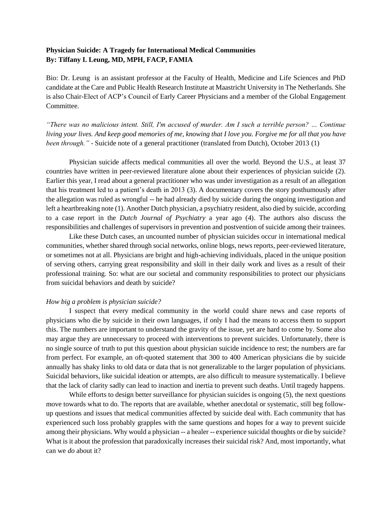# **Physician Suicide: A Tragedy for International Medical Communities By: Tiffany I. Leung, MD, MPH, FACP, FAMIA**

Bio: Dr. Leung is an assistant professor at the Faculty of Health, Medicine and Life Sciences and PhD candidate at the Care and Public Health Research Institute at Maastricht University in The Netherlands. She is also Chair-Elect of ACP's Council of Early Career Physicians and a member of the Global Engagement Committee.

*"There was no malicious intent. Still, I'm accused of murder. Am I such a terrible person? … Continue living your lives. And keep good memories of me, knowing that I love you. Forgive me for all that you have been through.*" - Suicide note of a general practitioner (translated from Dutch), October 2013 [\(1\)](https://paperpile.com/c/ViWPe9/CufU)

Physician suicide affects medical communities all over the world. Beyond the U.S., at least 37 countries have written in peer-reviewed literature alone about their experiences of physician suicide [\(2\).](https://paperpile.com/c/ViWPe9/Jczk) Earlier this year, I read about a general practitioner who was under investigation as a result of an allegation that his treatment led to a patient's death in 2013 [\(3\).](https://paperpile.com/c/ViWPe9/MG3A) A documentary covers the story posthumously after the allegation was ruled as wrongful -- he had already died by suicide during the ongoing investigation and left a heartbreaking not[e \(1\).](https://paperpile.com/c/ViWPe9/CufU) Another Dutch physician, a psychiatry resident, also died by suicide, according to a case report in the *Dutch Journal of Psychiatry* a year ago [\(4\).](https://paperpile.com/c/ViWPe9/JAYx) The authors also discuss the responsibilities and challenges of supervisors in prevention and postvention of suicide among their trainees.

Like these Dutch cases, an uncounted number of physician suicides occur in international medical communities, whether shared through social networks, online blogs, news reports, peer-reviewed literature, or sometimes not at all. Physicians are bright and high-achieving individuals, placed in the unique position of serving others, carrying great responsibility and skill in their daily work and lives as a result of their professional training. So: what are our societal and community responsibilities to protect our physicians from suicidal behaviors and death by suicide?

### *How big a problem is physician suicide?*

I suspect that every medical community in the world could share news and case reports of physicians who die by suicide in their own languages, if only I had the means to access them to support this. The numbers are important to understand the gravity of the issue, yet are hard to come by. Some also may argue they are unnecessary to proceed with interventions to prevent suicides. Unfortunately, there is no single source of truth to put this question about physician suicide incidence to rest; the numbers are far from perfect. For example, an oft-quoted statement that 300 to 400 American physicians die by suicide annually has shaky links to old data or data that is not generalizable to the larger population of physicians. Suicidal behaviors, like suicidal ideation or attempts, are also difficult to measure systematically. I believe that the lack of clarity sadly can lead to inaction and inertia to prevent such deaths. Until tragedy happens.

While efforts to design better surveillance for physician suicides is ongoing [\(5\),](https://paperpile.com/c/ViWPe9/sOH7) the next questions move towards what to do. The reports that are available, whether anecdotal or systematic, still beg followup questions and issues that medical communities affected by suicide deal with. Each community that has experienced such loss probably grapples with the same questions and hopes for a way to prevent suicide among their physicians. Why would a physician -- a healer -- experience suicidal thoughts or die by suicide? What is it about the profession that paradoxically increases their suicidal risk? And, most importantly, what can we *do* about it?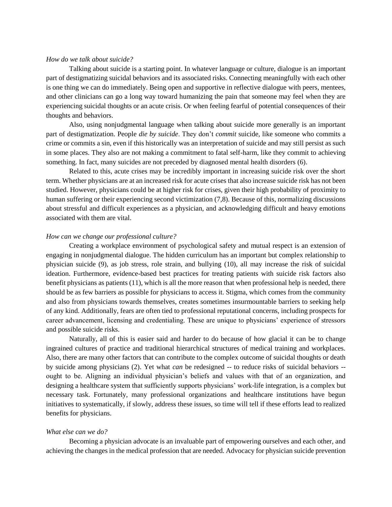#### *How do we talk about suicide?*

Talking about suicide is a starting point. In whatever language or culture, dialogue is an important part of destigmatizing suicidal behaviors and its associated risks. Connecting meaningfully with each other is one thing we can do immediately. Being open and supportive in reflective dialogue with peers, mentees, and other clinicians can go a long way toward humanizing the pain that someone may feel when they are experiencing suicidal thoughts or an acute crisis. Or when feeling fearful of potential consequences of their thoughts and behaviors.

Also, using nonjudgmental language when talking about suicide more generally is an important part of destigmatization. People *die by suicide*. They don't *commit* suicide, like someone who commits a crime or commits a sin, even if this historically was an interpretation of suicide and may still persist as such in some places. They also are not making a commitment to fatal self-harm, like they commit to achieving something. In fact, many suicides are not preceded by diagnosed mental health disorders [\(6\).](https://paperpile.com/c/ViWPe9/filF)

Related to this, acute crises may be incredibly important in increasing suicide risk over the short term. Whether physicians are at an increased risk for acute crises that also increase suicide risk has not been studied. However, physicians could be at higher risk for crises, given their high probability of proximity to human suffering or their experiencing second victimization [\(7,8\).](https://paperpile.com/c/ViWPe9/RNwq+70Qn) Because of this, normalizing discussions about stressful and difficult experiences as a physician, and acknowledging difficult and heavy emotions associated with them are vital.

#### *How can we change our professional culture?*

Creating a workplace environment of psychological safety and mutual respect is an extension of engaging in nonjudgmental dialogue. The hidden curriculum has an important but complex relationship to physician suicide [\(9\),](https://paperpile.com/c/ViWPe9/8EFN) as job stress, role strain, and bullying [\(10\),](https://paperpile.com/c/ViWPe9/6sWa) all may increase the risk of suicidal ideation. Furthermore, evidence-based best practices for treating patients with suicide risk factors also benefit physicians as patients [\(11\),](https://paperpile.com/c/ViWPe9/nmk6) which is all the more reason that when professional help is needed, there should be as few barriers as possible for physicians to access it. Stigma, which comes from the community and also from physicians towards themselves, creates sometimes insurmountable barriers to seeking help of any kind. Additionally, fears are often tied to professional reputational concerns, including prospects for career advancement, licensing and credentialing. These are unique to physicians' experience of stressors and possible suicide risks.

Naturally, all of this is easier said and harder to do because of how glacial it can be to change ingrained cultures of practice and traditional hierarchical structures of medical training and workplaces. Also, there are many other factors that can contribute to the complex outcome of suicidal thoughts or death by suicide among physicians [\(2\).](https://paperpile.com/c/ViWPe9/Jczk) Yet what *can* be redesigned -- to reduce risks of suicidal behaviors - ought to be. Aligning an individual physician's beliefs and values with that of an organization, and designing a healthcare system that sufficiently supports physicians' work-life integration, is a complex but necessary task. Fortunately, many professional organizations and healthcare institutions have begun initiatives to systematically, if slowly, address these issues, so time will tell if these efforts lead to realized benefits for physicians.

#### *What else can we do?*

Becoming a physician advocate is an invaluable part of empowering ourselves and each other, and achieving the changes in the medical profession that are needed. Advocacy for physician suicide prevention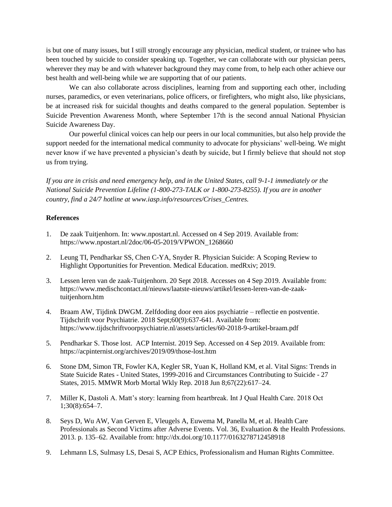is but one of many issues, but I still strongly encourage any physician, medical student, or trainee who has been touched by suicide to consider speaking up. Together, we can collaborate with our physician peers, wherever they may be and with whatever background they may come from, to help each other achieve our best health and well-being while we are supporting that of our patients.

We can also collaborate across disciplines, learning from and supporting each other, including nurses, paramedics, or even veterinarians, police officers, or firefighters, who might also, like physicians, be at increased risk for suicidal thoughts and deaths compared to the general population. September is Suicide Prevention Awareness Month, where September 17th is the second annual National Physician Suicide Awareness Day.

Our powerful clinical voices can help our peers in our local communities, but also help provide the support needed for the international medical community to advocate for physicians' well-being. We might never know if we have prevented a physician's death by suicide, but I firmly believe that should not stop us from trying.

*If you are in crisis and need emergency help, and in the United States, call 9-1-1 immediately or the National Suicide Prevention Lifeline (1-800-273-TALK or 1-800-273-8255). If you are in another country, find a 24/7 hotline at www.iasp.info/resources/Crises\_Centres.*

## **References**

- 1. De zaak Tuitjenhorn. In: www.npostart.nl. Accessed on 4 Sep 2019. Available [from:](http://paperpile.com/b/ViWPe9/CufU)  [https://www.npostart.nl/2doc/06-05-2019/VPWON\\_1268660](https://www.npostart.nl/2doc/06-05-2019/VPWON_1268660)
- 2. [Leung TI, Pendharkar SS, Chen C-YA, Snyder R. Physician Suicide: A Scoping Review to](http://paperpile.com/b/ViWPe9/Jczk)  [Highlight Opportunities for Prevention. Medical Education. medRxiv; 2019.](http://paperpile.com/b/ViWPe9/Jczk)
- 3. [Lessen leren van de zaak-Tuitjenhorn. 20 Sept 2018. Accesses on 4 Sep 2](http://paperpile.com/b/ViWPe9/MG3A)019. [Available from:](http://paperpile.com/b/ViWPe9/MG3A)  [https://www.medischcontact.nl/nieuws/laatste-nieuws/artikel/lessen-leren-van-de-zaak](https://www.medischcontact.nl/nieuws/laatste-nieuws/artikel/lessen-leren-van-de-zaak-tuitjenhorn.htm)[tuitjenhorn.htm](https://www.medischcontact.nl/nieuws/laatste-nieuws/artikel/lessen-leren-van-de-zaak-tuitjenhorn.htm)
- 4. Braam AW, Tijdink DWGM. Zelfdoding door een aios psychiatrie reflectie en postventi[e.](http://paperpile.com/b/ViWPe9/JAYx)  [Tijdschrift voor Psychiatrie. 2018 Sept;60\(9\):637-641.](http://paperpile.com/b/ViWPe9/JAYx) [Available from:](http://paperpile.com/b/ViWPe9/JAYx)  <https://www.tijdschriftvoorpsychiatrie.nl/assets/articles/60-2018-9-artikel-braam.pdf>
- 5. [Pendharkar S. Those lost. ACP Internist. 2019 Sep. Accessed on 4 Sep 2019. Available from:](http://paperpile.com/b/ViWPe9/sOH7)  <https://acpinternist.org/archives/2019/09/those-lost.htm>
- 6. [Stone DM, Simon TR, Fowler KA, Kegler SR, Yuan K, Holland KM, et al. Vital Signs: Trends in](http://paperpile.com/b/ViWPe9/filF)  State Suicide Rates - [United States, 1999-2016 and Circumstances Contributing to Suicide -](http://paperpile.com/b/ViWPe9/filF) 27 [States, 2015. MMWR Morb Mortal Wkly Rep. 2018 Jun 8;67\(22\):617–24.](http://paperpile.com/b/ViWPe9/filF)
- 7. [Miller K, Dastoli A. Matt's story: learning from heartbreak. Int J Qual Health Care. 2018 Oct](http://paperpile.com/b/ViWPe9/RNwq)  [1;30\(8\):654–7.](http://paperpile.com/b/ViWPe9/RNwq)
- 8. [Seys D, Wu AW, Van Gerven E, Vleugels A, Euwema M, Panella M, et al. Health Care](http://paperpile.com/b/ViWPe9/70Qn)  [Professionals as Second Victims after Adverse Events. Vol. 36, Evaluation & the Health Professions.](http://paperpile.com/b/ViWPe9/70Qn)  [2013. p. 135–62. Available from: http://dx.doi.org/10.1177/0163278712458918](http://paperpile.com/b/ViWPe9/70Qn)
- 9. [Lehmann LS, Sulmasy LS, Desai S, ACP Ethics, Professionalism and Human Rights Committee.](http://paperpile.com/b/ViWPe9/8EFN)